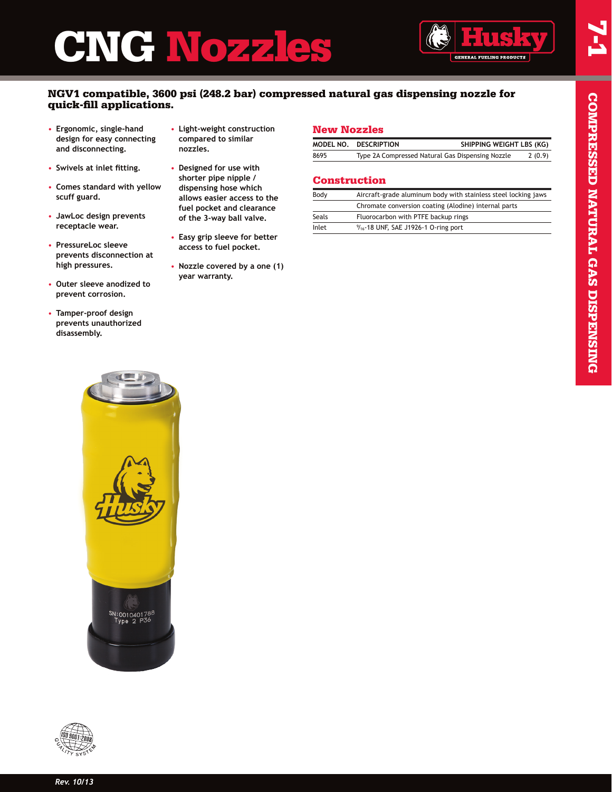# CHNOZZLES



### NGV1 compatible, 3600 psi (248.2 bar) compressed natural gas dispensing nozzle for quick-fill applications.

- **Ergonomic, single-hand design for easy connecting and disconnecting.**
- **Swivels at inlet fitting.**
- **Comes standard with yellow scuff guard.**
- **JawLoc design prevents receptacle wear.**
- **PressureLoc sleeve prevents disconnection at high pressures.**
- **Outer sleeve anodized to prevent corrosion.**
- **Tamper-proof design prevents unauthorized disassembly.**
- **Light-weight construction compared to similar nozzles.**
- **Designed for use with shorter pipe nipple / dispensing hose which allows easier access to the fuel pocket and clearance of the 3-way ball valve.**
- **Easy grip sleeve for better access to fuel pocket.**
- **Nozzle covered by a one (1) year warranty.**

#### New Nozzles

|      | MODEL NO. DESCRIPTION                            | SHIPPING WEIGHT LBS (KG) |        |
|------|--------------------------------------------------|--------------------------|--------|
| 8695 | Type 2A Compressed Natural Gas Dispensing Nozzle |                          | 2(0.9) |

#### Construction

| Body  | Aircraft-grade aluminum body with stainless steel locking jaws |
|-------|----------------------------------------------------------------|
|       | Chromate conversion coating (Alodine) internal parts           |
| Seals | Fluorocarbon with PTFE backup rings                            |
| Inlet | $\frac{9}{16}$ -18 UNF, SAE J1926-1 O-ring port                |
|       |                                                                |